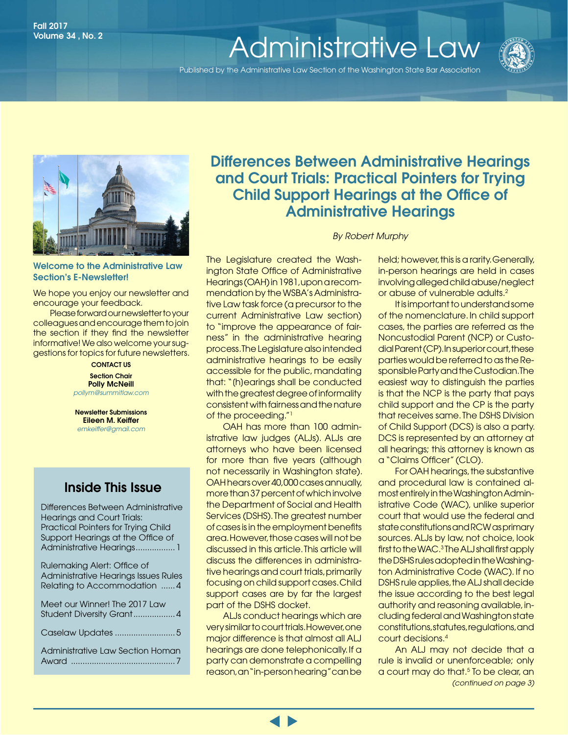# Wolume 34, No. 2 **[Administrative Law](http://www.wsba.org/lawyers/groups/administrativelaw/adminlaw.htm)**

Published by the Administrative Law Section of the Washington State Bar Association





#### Welcome to the Administrative Law Section's E-Newsletter!

We hope you enjoy our newsletter and encourage your feedback.

Please forward our newsletter to your colleagues and encourage them to join the section if they find the newsletter informative! We also welcome your suggestions for topics for future newsletters.

> CONTACT US **Section Chair** Polly McNeill *[pollym@summitlaw.com](mailto:pollym@summitlaw.com)*

Newsletter Submissions Eileen M. Keiffer *emkeiffer@gmail.com*

### Inside This Issue

Differences Between Administrative Hearings and Court Trials: Practical Pointers for Trying Child Support Hearings at the Office of Administrative Hearings................. 1

| Rulemaking Alert: Office of<br>Administrative Hearings Issues Rules<br>Relating to Accommodation  4 |
|-----------------------------------------------------------------------------------------------------|
| Meet our Winner! The 2017 Law<br>Student Diversity Grant4                                           |
|                                                                                                     |
| Administrative Law Section Homan                                                                    |

### Differences Between Administrative Hearings and Court Trials: Practical Pointers for Trying Child Support Hearings at the Office of Administrative Hearings

*By Robert Murphy*

The Legislature created the Washington State Office of Administrative Hearings (OAH) in 1981, upon a recommendation by the WSBA's Administrative Law task force (a precursor to the current Administrative Law section) to "improve the appearance of fairness" in the administrative hearing process. The Legislature also intended administrative hearings to be easily accessible for the public, mandating that: "[h]earings shall be conducted with the greatest degree of informality consistent with fairness and the nature of the proceeding."1

OAH has more than 100 administrative law judges (ALJs). ALJs are attorneys who have been licensed for more than five years (although not necessarily in Washington state). OAH hears over 40,000 cases annually, more than 37 percent of which involve the Department of Social and Health Services (DSHS). The greatest number of cases is in the employment benefits area. However, those cases will not be discussed in this article. This article will discuss the differences in administrative hearings and court trials, primarily focusing on child support cases. Child support cases are by far the largest part of the DSHS docket.

ALJs conduct hearings which are very similar to court trials. However, one major difference is that almost all ALJ hearings are done telephonically. If a party can demonstrate a compelling reason, an "in-person hearing" can be

held; however, this is a rarity. Generally, in-person hearings are held in cases involving alleged child abuse/neglect or abuse of vulnerable adults.2

It is important to understand some of the nomenclature. In child support cases, the parties are referred as the Noncustodial Parent (NCP) or Custodial Parent (CP). In superior court, these parties would be referred to as the Responsible Party and the Custodian. The easiest way to distinguish the parties is that the NCP is the party that pays child support and the CP is the party that receives same. The DSHS Division of Child Support (DCS) is also a party. DCS is represented by an attorney at all hearings; this attorney is known as a "Claims Officer" (CLO).

For OAH hearings, the substantive and procedural law is contained almost entirely in the Washington Administrative Code (WAC), unlike superior court that would use the federal and state constitutions and RCW as primary sources. ALJs by law, not choice, look first to the WAC.<sup>3</sup> The ALJ shall first apply the DSHS rules adopted in the Washington Administrative Code (WAC). If no DSHS rule applies, the ALJ shall decide the issue according to the best legal authority and reasoning available, including federal and Washington state constitutions, statutes, regulations, and court decisions.4

*(continued on page 3)*  An ALJ may not decide that a rule is invalid or unenforceable; only a court may do that.<sup>5</sup> To be clear, an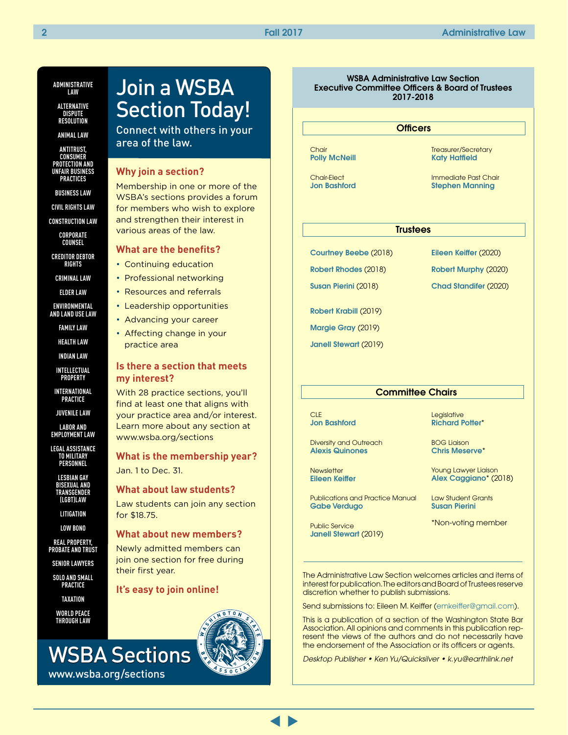### **ADMINISTRATIVE LAW**

**ALTERNATIVE DISPUTE RESOLUTION**

**ANIMAL LAW**

**ANTITRUST, CONSUMER PROTECTION AND UNFAIR BUSINESS PRACTICES**

**BUSINESS LAW**

**CIVIL RIGHTS LAW**

**CONSTRUCTION LAW**

**CORPORATE COUNSEL**

**CREDITOR DEBTOR RIGHTS**

**CRIMINAL LAW**

**ELDER LAW**

**ENVIRONMENTAL AND LAND USE LAW**

**FAMILY LAW**

**HEALTH LAW**

**INDIAN LAW**

**INTELLECTUAL PROPERTY**

**INTERNATIONAL PRACTICE**

**JUVENILE LAW**

**LABOR AND EMPLOYMENT LAW**

**LEGAL ASSISTANCE TO MILITARY PERSONNEL**

**LESBIAN GAY BISEXUAL AND TRANSGENDER (LGBT)LAW**

**LITIGATION**

**LOW BONO**

**REAL PROPERTY, PROBATE AND TRUST**

**SENIOR LAWYERS**

**SOLO AND SMALL PRACTICE**

**TAXATION**

**WORLD PEACE THROUGH LAW** 

www.wsba.org/sections

## Join a WSBA Section Today!

Connect with others in your area of the law.

#### **Why join a section?**

Membership in one or more of the WSBA's sections provides a forum for members who wish to explore and strengthen their interest in various areas of the law.

#### **What are the benefits?**

- Continuing education
- Professional networking
- Resources and referrals
- Leadership opportunities
- Advancing your career
- Affecting change in your practice area

#### **Is there a section that meets my interest?**

With 28 practice sections, you'll find at least one that aligns with your practice area and/or interest. Learn more about any section at www.wsba.org/sections

**What is the membership year?** Jan. 1 to Dec. 31.

**What about law students?**

Law students can join any section for \$18.75.

#### **What about new members?**

Newly admitted members can join one section for free during their first year.

#### **It's easy to join online!**



#### WSBA Administrative Law Section Executive Committee Officers & Board of Trustees 2017-2018

#### **Officers**

Chair [Polly McNeill](https://www.mywsba.org/LawyerDirectory/LawyerProfile.aspx?Usr_ID=17437)

Chair-Elect [Jon Bashford](https://www.mywsba.org/LawyerDirectory/LawyerProfile.aspx?Usr_ID=39299) Treasurer/Secretary [Katy Hatfield](https://www.mywsba.org/LawyerDirectory/LawyerProfile.aspx?Usr_ID=39906)

Immediate Past Chair [Stephen Manning](https://www.mywsba.org/LawyerDirectory/LawyerProfile.aspx?Usr_ID=36965)

#### **Trustees**

[Courtney Beebe](mailto:courtney.beebe@oah.wa.gov) (2018)

[Robert Rhodes](https://www.mywsba.org/LawyerDirectory/LawyerProfile.aspx?Usr_ID=31089) (2018) [Susan Pierini](https://www.mywsba.org/LawyerDirectory/LawyerProfile.aspx?Usr_ID=17714) (2018)

[Eileen Keiffer](mailto:eileen@kenyondisend.com) (2020)

[Robert Murphy](mailto:judgermj@gmail.com) (2020)

[Chad Standifer](mailto:chads@atg.wa.gov) (2020)

[Robert Krabill](https://www.mywsba.org/LawyerDirectory/LawyerProfile.aspx?Usr_ID=31694) (2019)

[Margie Gray](https://www.mywsba.org/LawyerDirectory/LawyerProfile.aspx?Usr_ID=9607) (2019)

[Janell Stewart](https://www.mywsba.org/LawyerDirectory/LawyerProfile.aspx?Usr_ID=35211) (2019)

#### **Committee Chairs**

**CLE** [Jon Bashford](https://www.mywsba.org/LawyerDirectory/LawyerProfile.aspx?Usr_ID=39299)

Diversity and Outreach [Alexis Quinones](mailto:alexis@dynamiclawgroup.com)

**Newsletter** [Eileen Keiffer](https://www.mywsba.org/LawyerDirectory/LawyerProfile.aspx?Usr_ID=51598)

Publications and Practice Manual [Gabe Verdugo](https://www.mywsba.org/LawyerDirectory/LawyerProfile.aspx?Usr_ID=44154)

Public Service [Janell Stewart](https://www.mywsba.org/LawyerDirectory/LawyerProfile.aspx?Usr_ID=35211) (2019) **Legislative** [Richard Potter](https://www.mywsba.org/LawyerDirectory/LawyerProfile.aspx?Usr_ID=19196)\*

BOG Liaison [Chris Meserve](https://www.mywsba.org/LawyerDirectory/LawyerProfile.aspx?Usr_ID=8748)\*

Young Lawyer Liaison [Alex Caggiano](https://www.mywsba.org/LawyerDirectory/LawyerProfile.aspx?Usr_ID=47862)\* (2018)

Law Student Grants [Susan Pierini](https://www.mywsba.org/LawyerDirectory/LawyerProfile.aspx?Usr_ID=17714)

\*Non-voting member

The Administrative Law Section welcomes articles and items of interest for publication. The editors and Board of Trustees reserve discretion whether to publish submissions.

Send submissions to: Eileen M. Keiffer ([emkeiffer@gmail.com\)](mailto:emkeiffer@gmail.com).

This is a publication of a section of the Washington State Bar Association. All opinions and comments in this publication represent the views of the authors and do not necessarily have the endorsement of the Association or its officers or agents.

*Desktop Publisher • Ken Yu/Quicksilver • k.yu@earthlink.net*

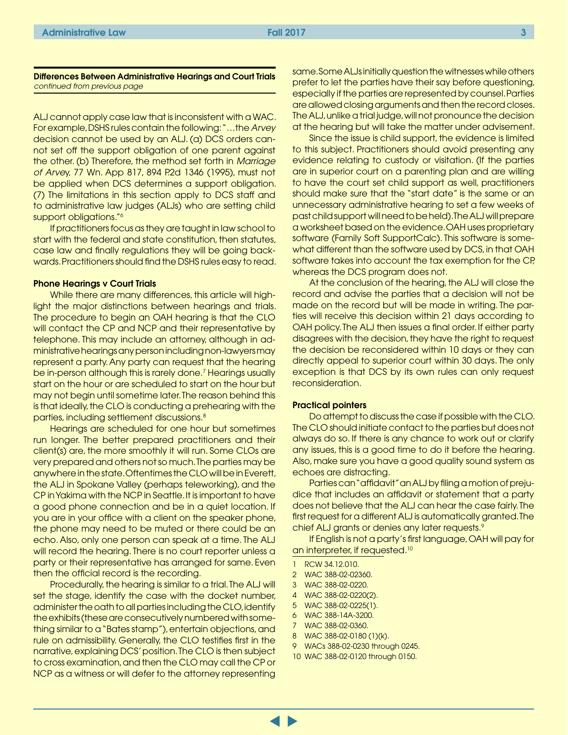#### Differences Between Administrative Hearings and Court Trials *continued from previous page*

ALJ cannot apply case law that is inconsistent with a WAC. For example, DSHS rules contain the following: "…the *Arvey* decision cannot be used by an ALJ. (a) DCS orders cannot set off the support obligation of one parent against the other. (b) Therefore, the method set forth in *Marriage of Arve*y, 77 Wn. App 817, 894 P.2d 1346 (1995), must not be applied when DCS determines a support obligation. (7) The limitations in this section apply to DCS staff and to administrative law judges (ALJs) who are setting child support obligations."6

If practitioners focus as they are taught in law school to start with the federal and state constitution, then statutes, case law and finally regulations they will be going backwards. Practitioners should find the DSHS rules easy to read.

#### Phone Hearings v Court Trials

While there are many differences, this article will highlight the major distinctions between hearings and trials. The procedure to begin an OAH hearing is that the CLO will contact the CP and NCP and their representative by telephone. This may include an attorney, although in administrative hearings any person including non-lawyers may represent a party. Any party can request that the hearing be in-person although this is rarely done.<sup>7</sup> Hearings usually start on the hour or are scheduled to start on the hour but may not begin until sometime later. The reason behind this is that ideally, the CLO is conducting a prehearing with the parties, including settlement discussions.8

Hearings are scheduled for one hour but sometimes run longer. The better prepared practitioners and their client(s) are, the more smoothly it will run. Some CLOs are very prepared and others not so much. The parties may be anywhere in the state. Oftentimes the CLO will be in Everett, the ALJ in Spokane Valley (perhaps teleworking), and the CP in Yakima with the NCP in Seattle. It is important to have a good phone connection and be in a quiet location. If you are in your office with a client on the speaker phone, the phone may need to be muted or there could be an echo. Also, only one person can speak at a time. The ALJ will record the hearing. There is no court reporter unless a party or their representative has arranged for same. Even then the official record is the recording.

Procedurally, the hearing is similar to a trial. The ALJ will set the stage, identify the case with the docket number, administer the oath to all parties including the CLO, identify the exhibits (these are consecutively numbered with something similar to a "Bates stamp"), entertain objections, and rule on admissibility. Generally, the CLO testifies first in the narrative, explaining DCS' position. The CLO is then subject to cross examination, and then the CLO may call the CP or NCP as a witness or will defer to the attorney representing

same. Some ALJs initially question the witnesses while others prefer to let the parties have their say before questioning, especially if the parties are represented by counsel. Parties are allowed closing arguments and then the record closes. The ALJ, unlike a trial judge, will not pronounce the decision at the hearing but will take the matter under advisement.

Since the issue is child support, the evidence is limited to this subject. Practitioners should avoid presenting any evidence relating to custody or visitation. (If the parties are in superior court on a parenting plan and are willing to have the court set child support as well, practitioners should make sure that the "start date" is the same or an unnecessary administrative hearing to set a few weeks of past child support will need to be held). The ALJ will prepare a worksheet based on the evidence. OAH uses proprietary software (Family Soft SupportCalc). This software is somewhat different than the software used by DCS, in that OAH software takes into account the tax exemption for the CP, whereas the DCS program does not.

At the conclusion of the hearing, the ALJ will close the record and advise the parties that a decision will not be made on the record but will be made in writing. The parties will receive this decision within 21 days according to OAH policy. The ALJ then issues a final order. If either party disagrees with the decision, they have the right to request the decision be reconsidered within 10 days or they can directly appeal to superior court within 30 days. The only exception is that DCS by its own rules can only request reconsideration.

#### Practical pointers

Do attempt to discuss the case if possible with the CLO. The CLO should initiate contact to the parties but does not always do so. If there is any chance to work out or clarify any issues, this is a good time to do it before the hearing. Also, make sure you have a good quality sound system as echoes are distracting.

Parties can "affidavit" an ALJ by filing a motion of prejudice that includes an affidavit or statement that a party does not believe that the ALJ can hear the case fairly. The first request for a different ALJ is automatically granted. The chief ALJ grants or denies any later requests.9

If English is not a party's first language, OAH will pay for an interpreter, if requested.<sup>10</sup>

- 1 RCW 34.12.010.
- 2 WAC 388-02-02360.
- 3 WAC 388-02-0220.
- 4 WAC 388-02-0220(2).
- 5 WAC 388-02-0225(1).
- 6 WAC 388-14A-3200.
- 7 WAC 388-02-0360.
- 8 WAC 388-02-0180 (1)(k).
- 9 WACs 388-02-0230 through 0245.
- 10 WAC 388-02-0120 through 0150.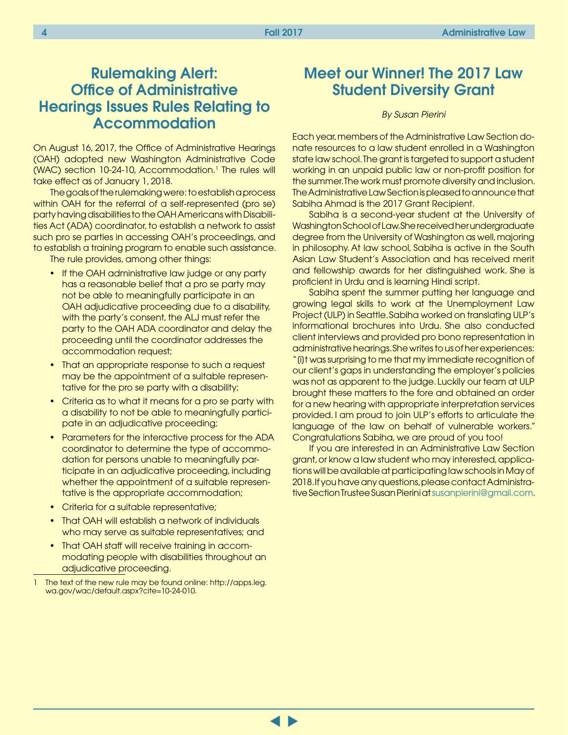### <span id="page-3-0"></span>Rulemaking Alert: Office of Administrative Hearings Issues Rules Relating to Accommodation

On August 16, 2017, the Office of Administrative Hearings (OAH) adopted new Washington Administrative Code (WAC) section 10-24-10, Accommodation.1 The rules will take effect as of January 1, 2018.

The goals of the rulemaking were: to establish a process within OAH for the referral of a self-represented (pro se) party having disabilities to the OAH Americans with Disabilities Act (ADA) coordinator, to establish a network to assist such pro se parties in accessing OAH's proceedings, and to establish a training program to enable such assistance.

The rule provides, among other things:

- If the OAH administrative law judge or any party has a reasonable belief that a pro se party may not be able to meaningfully participate in an OAH adjudicative proceeding due to a disability, with the party's consent, the ALJ must refer the party to the OAH ADA coordinator and delay the proceeding until the coordinator addresses the accommodation request;
- That an appropriate response to such a request may be the appointment of a suitable representative for the pro se party with a disability;
- Criteria as to what it means for a pro se party with a disability to not be able to meaningfully participate in an adjudicative proceeding;
- Parameters for the interactive process for the ADA coordinator to determine the type of accommodation for persons unable to meaningfully participate in an adjudicative proceeding, including whether the appointment of a suitable representative is the appropriate accommodation;
- Criteria for a suitable representative;
- That OAH will establish a network of individuals who may serve as suitable representatives; and
- That OAH staff will receive training in accommodating people with disabilities throughout an adjudicative proceeding.

### Meet our Winner! The 2017 Law Student Diversity Grant

#### *By Susan Pierini*

Each year, members of the Administrative Law Section donate resources to a law student enrolled in a Washington state law school. The grant is targeted to support a student working in an unpaid public law or non-profit position for the summer. The work must promote diversity and inclusion. The Administrative Law Section is pleased to announce that Sabiha Ahmad is the 2017 Grant Recipient.

Sabiha is a second-year student at the University of Washington School of Law. She received her undergraduate degree from the University of Washington as well, majoring in philosophy. At law school, Sabiha is active in the South Asian Law Student's Association and has received merit and fellowship awards for her distinguished work. She is proficient in Urdu and is learning Hindi script.

Sabiha spent the summer putting her language and growing legal skills to work at the Unemployment Law Project (ULP) in Seattle. Sabiha worked on translating ULP's informational brochures into Urdu. She also conducted client interviews and provided pro bono representation in administrative hearings. She writes to us of her experiences: "[i]t was surprising to me that my immediate recognition of our client's gaps in understanding the employer's policies was not as apparent to the judge. Luckily our team at ULP brought these matters to the fore and obtained an order for a new hearing with appropriate interpretation services provided. I am proud to join ULP's efforts to articulate the language of the law on behalf of vulnerable workers." Congratulations Sabiha, we are proud of you too!

If you are interested in an Administrative Law Section grant, or know a law student who may interested, applications will be available at participating law schools in May of 2018. If you have any questions, please contact Administrative Section Trustee Susan Pierini at [susanpierini@gmail.com.](mailto:susanpierini@gmail.com)

The text of the new rule may be found online: [http://apps.leg.](http://apps.leg.wa.gov/wac/default.aspx?cite=10-24-010) [wa.gov/wac/default.aspx?cite=10-24-010](http://apps.leg.wa.gov/wac/default.aspx?cite=10-24-010).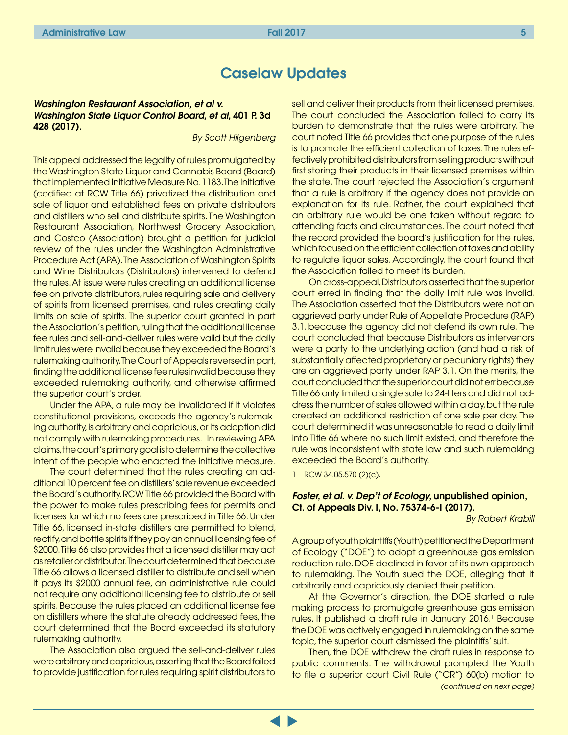### Caselaw Updates

#### <span id="page-4-0"></span>*Washington Restaurant Association, et al v. Washington State Liquor Control Board, et al*, 401 P. 3d 428 (2017).

*By Scott Hilgenberg*

This appeal addressed the legality of rules promulgated by the Washington State Liquor and Cannabis Board (Board) that implemented Initiative Measure No. 1183. The Initiative (codified at RCW Title 66) privatized the distribution and sale of liquor and established fees on private distributors and distillers who sell and distribute spirits. The Washington Restaurant Association, Northwest Grocery Association, and Costco (Association) brought a petition for judicial review of the rules under the Washington Administrative Procedure Act (APA). The Association of Washington Spirits and Wine Distributors (Distributors) intervened to defend the rules. At issue were rules creating an additional license fee on private distributors, rules requiring sale and delivery of spirits from licensed premises, and rules creating daily limits on sale of spirits. The superior court granted in part the Association's petition, ruling that the additional license fee rules and sell-and-deliver rules were valid but the daily limit rules were invalid because they exceeded the Board's rulemaking authority. The Court of Appeals reversed in part, finding the additional license fee rules invalid because they exceeded rulemaking authority, and otherwise affirmed the superior court's order.

Under the APA, a rule may be invalidated if it violates constitutional provisions, exceeds the agency's rulemaking authority, is arbitrary and capricious, or its adoption did not comply with rulemaking procedures.<sup>1</sup> In reviewing APA claims, the court's primary goal is to determine the collective intent of the people who enacted the initiative measure.

The court determined that the rules creating an additional 10 percent fee on distillers' sale revenue exceeded the Board's authority. RCW Title 66 provided the Board with the power to make rules prescribing fees for permits and licenses for which no fees are prescribed in Title 66. Under Title 66, licensed in-state distillers are permitted to blend, rectify, and bottle spirits if they pay an annual licensing fee of \$2000. Title 66 also provides that a licensed distiller may act as retailer or distributor. The court determined that because Title 66 allows a licensed distiller to distribute and sell when it pays its \$2000 annual fee, an administrative rule could not require any additional licensing fee to distribute or sell spirits. Because the rules placed an additional license fee on distillers where the statute already addressed fees, the court determined that the Board exceeded its statutory rulemaking authority.

The Association also argued the sell-and-deliver rules were arbitrary and capricious, asserting that the Board failed to provide justification for rules requiring spirit distributors to sell and deliver their products from their licensed premises. The court concluded the Association failed to carry its burden to demonstrate that the rules were arbitrary. The court noted Title 66 provides that one purpose of the rules is to promote the efficient collection of taxes. The rules effectively prohibited distributors from selling products without first storing their products in their licensed premises within the state. The court rejected the Association's argument that a rule is arbitrary if the agency does not provide an explanation for its rule. Rather, the court explained that an arbitrary rule would be one taken without regard to attending facts and circumstances. The court noted that the record provided the board's justification for the rules, which focused on the efficient collection of taxes and ability to regulate liquor sales. Accordingly, the court found that the Association failed to meet its burden.

On cross-appeal, Distributors asserted that the superior court erred in finding that the daily limit rule was invalid. The Association asserted that the Distributors were not an aggrieved party under Rule of Appellate Procedure (RAP) 3.1. because the agency did not defend its own rule. The court concluded that because Distributors as intervenors were a party to the underlying action (and had a risk of substantially affected proprietary or pecuniary rights) they are an aggrieved party under RAP 3.1. On the merits, the court concluded that the superior court did not err because Title 66 only limited a single sale to 24-liters and did not address the number of sales allowed within a day, but the rule created an additional restriction of one sale per day. The court determined it was unreasonable to read a daily limit into Title 66 where no such limit existed, and therefore the rule was inconsistent with state law and such rulemaking exceeded the Board's authority.

1 RCW 34.05.570 (2)(c).

#### *Foster, et al. v. Dep't of Ecology,* unpublished opinion, Ct. of Appeals Div. I, No. 75374-6-I (2017).

*By Robert Krabill*

A group of youth plaintiffs (Youth) petitioned the Department of Ecology ("DOE") to adopt a greenhouse gas emission reduction rule. DOE declined in favor of its own approach to rulemaking. The Youth sued the DOE, alleging that it arbitrarily and capriciously denied their petition.

At the Governor's direction, the DOE started a rule making process to promulgate greenhouse gas emission rules. It published a draft rule in January 2016.<sup>1</sup> Because the DOE was actively engaged in rulemaking on the same topic, the superior court dismissed the plaintiffs' suit.

Then, the DOE withdrew the draft rules in response to public comments. The withdrawal prompted the Youth to file a superior court Civil Rule ("CR") 60(b) motion to *(continued on next page)*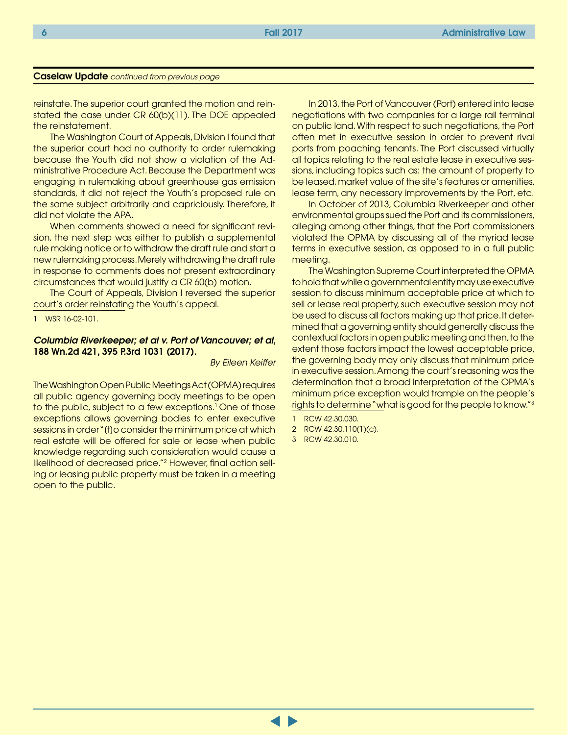#### Caselaw Update *continued from previous page*

reinstate. The superior court granted the motion and reinstated the case under CR 60(b)(11). The DOE appealed the reinstatement.

The Washington Court of Appeals, Division I found that the superior court had no authority to order rulemaking because the Youth did not show a violation of the Administrative Procedure Act. Because the Department was engaging in rulemaking about greenhouse gas emission standards, it did not reject the Youth's proposed rule on the same subject arbitrarily and capriciously. Therefore, it did not violate the APA.

When comments showed a need for significant revision, the next step was either to publish a supplemental rule making notice or to withdraw the draft rule and start a new rulemaking process. Merely withdrawing the draft rule in response to comments does not present extraordinary circumstances that would justify a CR 60(b) motion.

The Court of Appeals, Division I reversed the superior court's order reinstating the Youth's appeal.

1 WSR 16-02-101.

#### *Columbia Riverkeeper; et al v. Port of Vancouver; et al*, 188 Wn.2d 421, 395 P.3rd 1031 (2017).

*By Eileen Keiffer*

The Washington Open Public Meetings Act (OPMA) requires all public agency governing body meetings to be open to the public, subject to a few exceptions.<sup>1</sup> One of those exceptions allows governing bodies to enter executive sessions in order "(t) o consider the minimum price at which real estate will be offered for sale or lease when public knowledge regarding such consideration would cause a likelihood of decreased price."2 However, final action selling or leasing public property must be taken in a meeting open to the public.

In 2013, the Port of Vancouver (Port) entered into lease negotiations with two companies for a large rail terminal on public land. With respect to such negotiations, the Port often met in executive session in order to prevent rival ports from poaching tenants. The Port discussed virtually all topics relating to the real estate lease in executive sessions, including topics such as: the amount of property to be leased, market value of the site's features or amenities, lease term, any necessary improvements by the Port, etc.

In October of 2013, Columbia Riverkeeper and other environmental groups sued the Port and its commissioners, alleging among other things, that the Port commissioners violated the OPMA by discussing all of the myriad lease terms in executive session, as opposed to in a full public meeting.

The Washington Supreme Court interpreted the OPMA to hold that while a governmental entity may use executive session to discuss minimum acceptable price at which to sell or lease real property, such executive session may not be used to discuss all factors making up that price. It determined that a governing entity should generally discuss the contextual factors in open public meeting and then, to the extent those factors impact the lowest acceptable price, the governing body may only discuss that minimum price in executive session. Among the court's reasoning was the determination that a broad interpretation of the OPMA's minimum price exception would trample on the people's rights to determine "what is good for the people to know."3

- 1 RCW 42.30.030.
- 2 RCW 42.30.110(1)(c).

3 RCW 42.30.010.